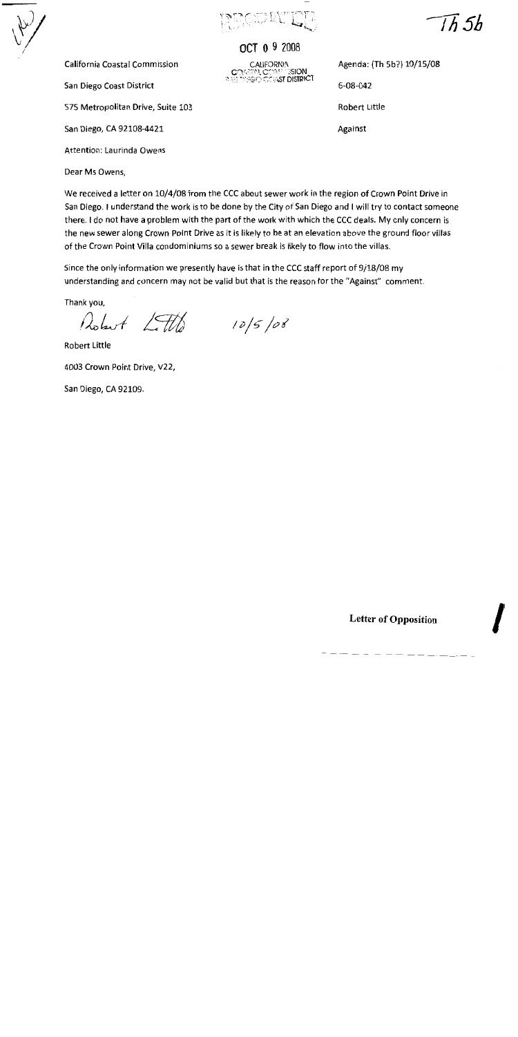OCT 0 9 2008

CALIFORNIA<br>ASTAL COMPUSSION<br>NGC COAST DISTRIC

**AST DISTRICT** 

California Coastal Commission

San Diego Coast District

575 Metropolitan Drive, Suite 103

San Diego, CA 92108-4421

Attention: Laurinda Owens

Dear Ms Owens,

Agenda: (Th 5b?) 10/15/08 6-08-042 **Robert Little** Against

Th 5h

We received a letter on 10/4/08 from the CCC about sewer work in the region of Crown Point Drive in San Diego. I understand the work is to be done by the City of San Diego and I will try to contact someone there. I do not have a problem with the part of the work with which the CCC deals. My only concern is the new sewer along Crown Point Drive as it is likely to be at an elevation above the ground floor villas of the Crown Point Villa condominiums so a sewer break is likely to flow into the villas.

Since the only information we presently have is that in the CCC staff report of 9/18/08 my understanding and concern may not be valid but that is the reason for the "Against" comment.

Thank you,

Robert Little

 $10/5/08$ 

**Robert Little** 4003 Crown Point Drive, V22,

San Diego, CA 92109.

**Letter of Opposition**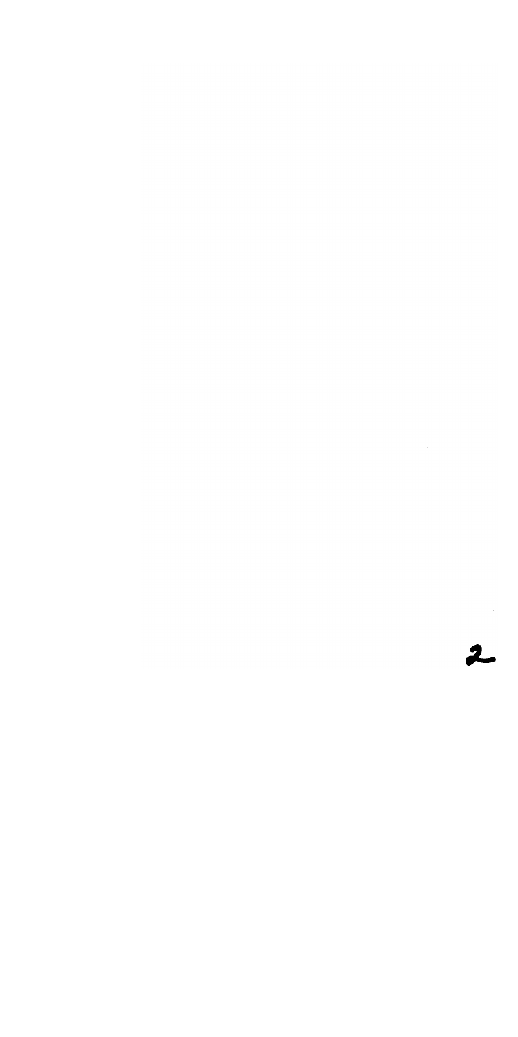$\label{eq:2.1} \frac{1}{\sqrt{2}}\left(\frac{1}{\sqrt{2}}\right)^2\left(\frac{1}{\sqrt{2}}\right)^2\left(\frac{1}{\sqrt{2}}\right)^2\left(\frac{1}{\sqrt{2}}\right)^2\left(\frac{1}{\sqrt{2}}\right)^2\left(\frac{1}{\sqrt{2}}\right)^2\left(\frac{1}{\sqrt{2}}\right)^2\left(\frac{1}{\sqrt{2}}\right)^2\left(\frac{1}{\sqrt{2}}\right)^2\left(\frac{1}{\sqrt{2}}\right)^2\left(\frac{1}{\sqrt{2}}\right)^2\left(\frac{1}{\sqrt{2}}\right)^2\left(\frac{1}{\sqrt$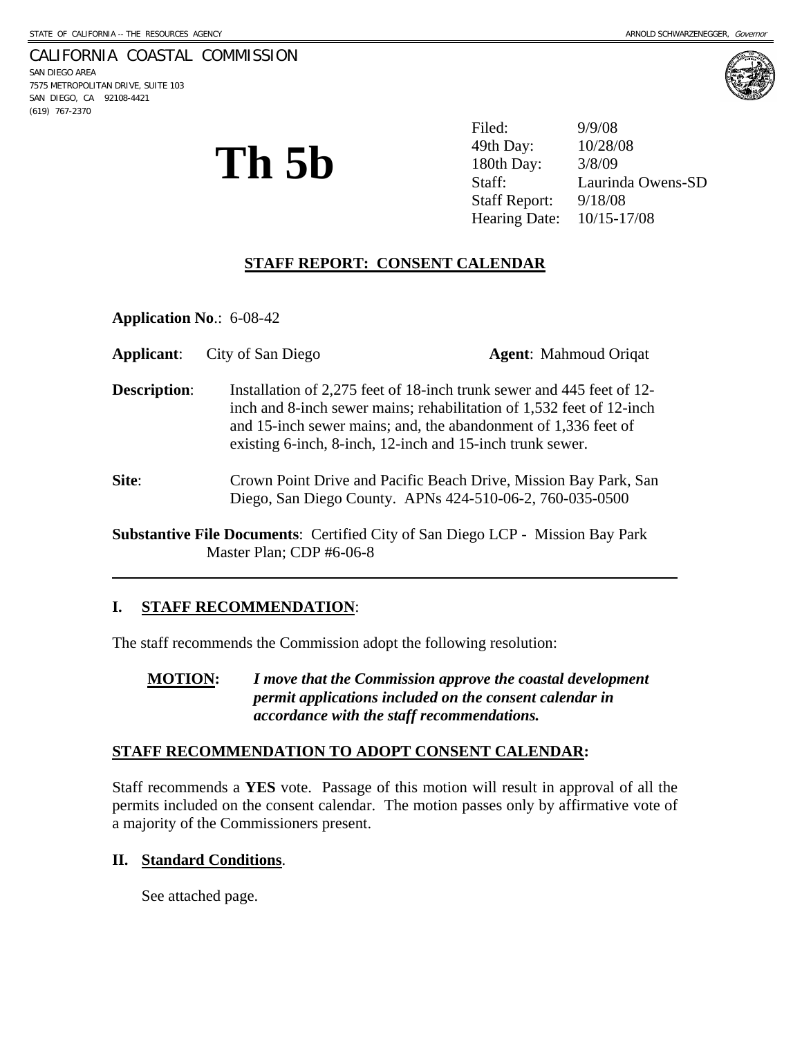### CALIFORNIA COASTAL COMMISSION

SAN DIEGO AREA 7575 METROPOLITAN DRIVE, SUITE 103 SAN DIEGO, CA 92108-4421 (619) 767-2370

 $\overline{a}$ 



**Th 5b**  $\sum_{\text{49th Day:}}$   $\sum_{\text{180th Day:}}$   $\sum_{\text{3/8/09}}$   $\sum_{\text{Staff:}}$  Laurinda Filed: 9/9/08 Staff: Laurinda Owens-SD Staff Report: 9/18/08 Hearing Date: 10/15-17/08

# **STAFF REPORT: CONSENT CALENDAR**

**Application No**.: 6-08-42

| Applicant:          | City of San Diego                                                                                                                                                                                                                                                            | <b>Agent:</b> Mahmoud Origat                                                                                                 |
|---------------------|------------------------------------------------------------------------------------------------------------------------------------------------------------------------------------------------------------------------------------------------------------------------------|------------------------------------------------------------------------------------------------------------------------------|
| <b>Description:</b> | Installation of 2,275 feet of 18-inch trunk sewer and 445 feet of 12-<br>inch and 8-inch sewer mains; rehabilitation of 1,532 feet of 12-inch<br>and 15-inch sewer mains; and, the abandonment of 1,336 feet of<br>existing 6-inch, 8-inch, 12-inch and 15-inch trunk sewer. |                                                                                                                              |
| Site:               |                                                                                                                                                                                                                                                                              | Crown Point Drive and Pacific Beach Drive, Mission Bay Park, San<br>Diego, San Diego County. APNs 424-510-06-2, 760-035-0500 |

**Substantive File Documents**: Certified City of San Diego LCP - Mission Bay Park Master Plan; CDP #6-06-8

### **I. STAFF RECOMMENDATION**:

The staff recommends the Commission adopt the following resolution:

**MOTION:** *I move that the Commission approve the coastal development permit applications included on the consent calendar in accordance with the staff recommendations.* 

#### **STAFF RECOMMENDATION TO ADOPT CONSENT CALENDAR:**

Staff recommends a **YES** vote. Passage of this motion will result in approval of all the permits included on the consent calendar. The motion passes only by affirmative vote of a majority of the Commissioners present.

### **II. Standard Conditions**.

See attached page.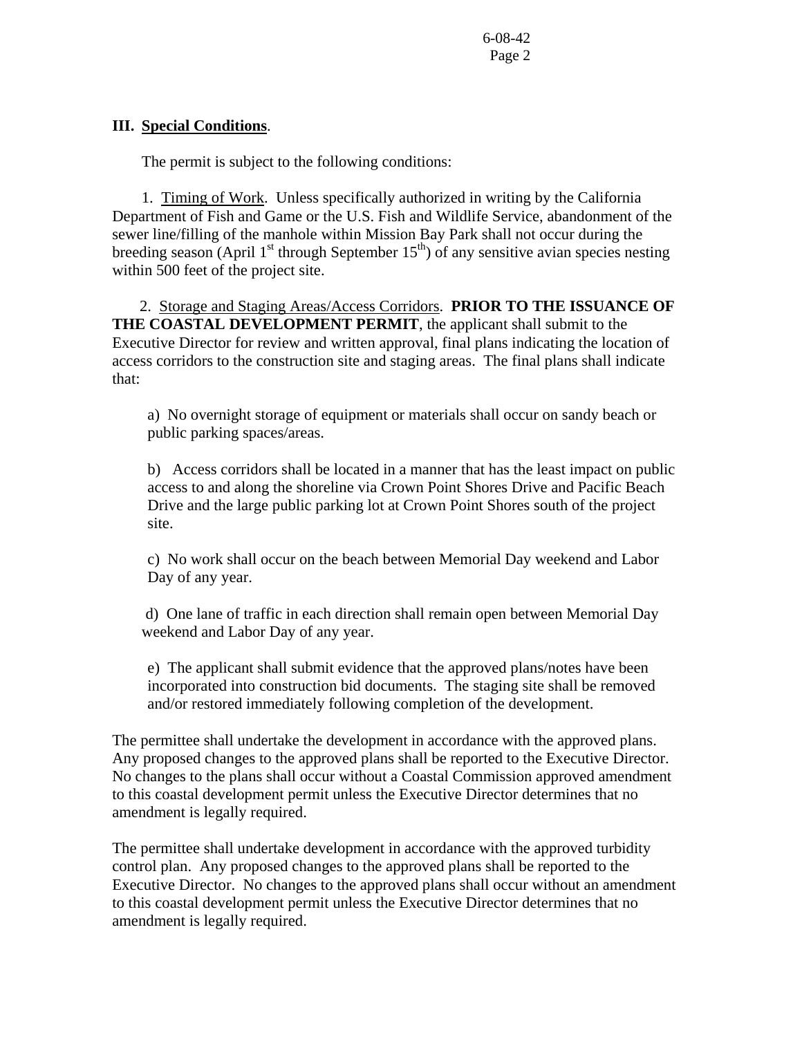## **III. Special Conditions**.

The permit is subject to the following conditions:

 1. Timing of Work. Unless specifically authorized in writing by the California Department of Fish and Game or the U.S. Fish and Wildlife Service, abandonment of the sewer line/filling of the manhole within Mission Bay Park shall not occur during the breeding season (April  $1<sup>st</sup>$  through September  $15<sup>th</sup>$ ) of any sensitive avian species nesting within 500 feet of the project site.

 2. Storage and Staging Areas/Access Corridors. **PRIOR TO THE ISSUANCE OF THE COASTAL DEVELOPMENT PERMIT**, the applicant shall submit to the Executive Director for review and written approval, final plans indicating the location of access corridors to the construction site and staging areas. The final plans shall indicate that:

 a) No overnight storage of equipment or materials shall occur on sandy beach or public parking spaces/areas.

 b) Access corridors shall be located in a manner that has the least impact on public access to and along the shoreline via Crown Point Shores Drive and Pacific Beach Drive and the large public parking lot at Crown Point Shores south of the project site.

 c) No work shall occur on the beach between Memorial Day weekend and Labor Day of any year.

 d) One lane of traffic in each direction shall remain open between Memorial Day weekend and Labor Day of any year.

 e) The applicant shall submit evidence that the approved plans/notes have been incorporated into construction bid documents. The staging site shall be removed and/or restored immediately following completion of the development.

The permittee shall undertake the development in accordance with the approved plans. Any proposed changes to the approved plans shall be reported to the Executive Director. No changes to the plans shall occur without a Coastal Commission approved amendment to this coastal development permit unless the Executive Director determines that no amendment is legally required.

The permittee shall undertake development in accordance with the approved turbidity control plan. Any proposed changes to the approved plans shall be reported to the Executive Director. No changes to the approved plans shall occur without an amendment to this coastal development permit unless the Executive Director determines that no amendment is legally required.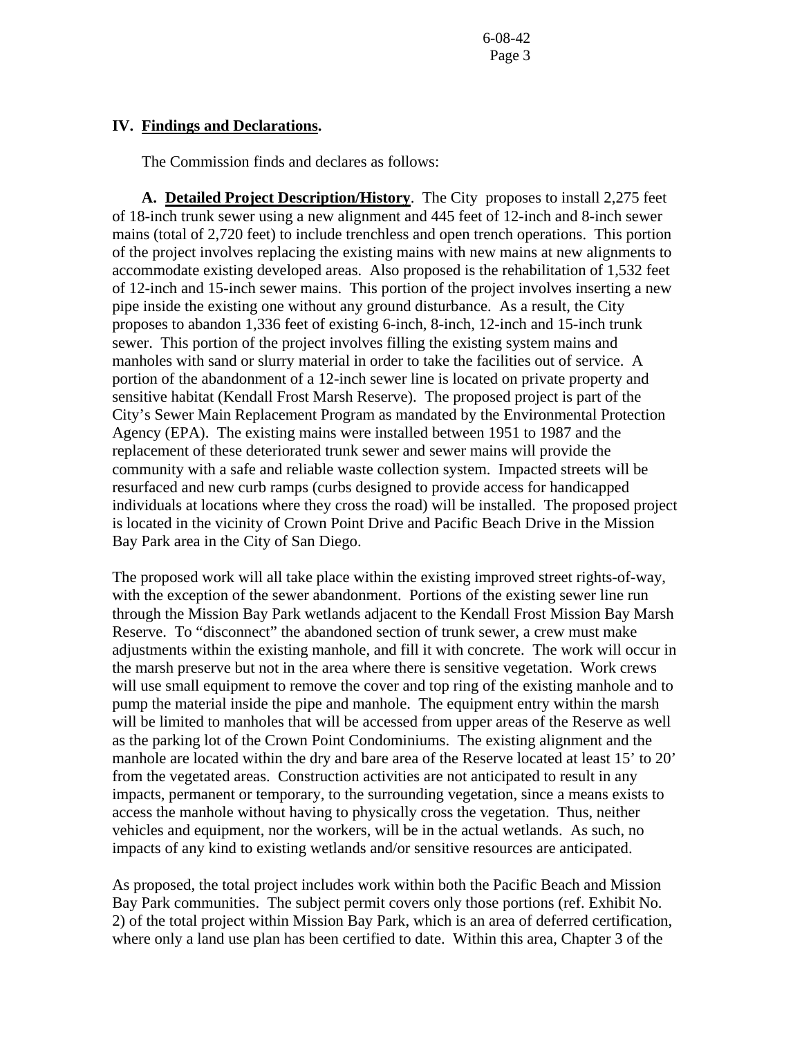#### **IV. Findings and Declarations.**

The Commission finds and declares as follows:

**A. Detailed Project Description/History**. The City proposes to install 2,275 feet of 18-inch trunk sewer using a new alignment and 445 feet of 12-inch and 8-inch sewer mains (total of 2,720 feet) to include trenchless and open trench operations. This portion of the project involves replacing the existing mains with new mains at new alignments to accommodate existing developed areas. Also proposed is the rehabilitation of 1,532 feet of 12-inch and 15-inch sewer mains. This portion of the project involves inserting a new pipe inside the existing one without any ground disturbance. As a result, the City proposes to abandon 1,336 feet of existing 6-inch, 8-inch, 12-inch and 15-inch trunk sewer. This portion of the project involves filling the existing system mains and manholes with sand or slurry material in order to take the facilities out of service. A portion of the abandonment of a 12-inch sewer line is located on private property and sensitive habitat (Kendall Frost Marsh Reserve). The proposed project is part of the City's Sewer Main Replacement Program as mandated by the Environmental Protection Agency (EPA). The existing mains were installed between 1951 to 1987 and the replacement of these deteriorated trunk sewer and sewer mains will provide the community with a safe and reliable waste collection system. Impacted streets will be resurfaced and new curb ramps (curbs designed to provide access for handicapped individuals at locations where they cross the road) will be installed. The proposed project is located in the vicinity of Crown Point Drive and Pacific Beach Drive in the Mission Bay Park area in the City of San Diego.

The proposed work will all take place within the existing improved street rights-of-way, with the exception of the sewer abandonment. Portions of the existing sewer line run through the Mission Bay Park wetlands adjacent to the Kendall Frost Mission Bay Marsh Reserve. To "disconnect" the abandoned section of trunk sewer, a crew must make adjustments within the existing manhole, and fill it with concrete. The work will occur in the marsh preserve but not in the area where there is sensitive vegetation. Work crews will use small equipment to remove the cover and top ring of the existing manhole and to pump the material inside the pipe and manhole. The equipment entry within the marsh will be limited to manholes that will be accessed from upper areas of the Reserve as well as the parking lot of the Crown Point Condominiums. The existing alignment and the manhole are located within the dry and bare area of the Reserve located at least 15' to 20' from the vegetated areas. Construction activities are not anticipated to result in any impacts, permanent or temporary, to the surrounding vegetation, since a means exists to access the manhole without having to physically cross the vegetation. Thus, neither vehicles and equipment, nor the workers, will be in the actual wetlands. As such, no impacts of any kind to existing wetlands and/or sensitive resources are anticipated.

As proposed, the total project includes work within both the Pacific Beach and Mission Bay Park communities. The subject permit covers only those portions (ref. Exhibit No. 2) of the total project within Mission Bay Park, which is an area of deferred certification, where only a land use plan has been certified to date. Within this area, Chapter 3 of the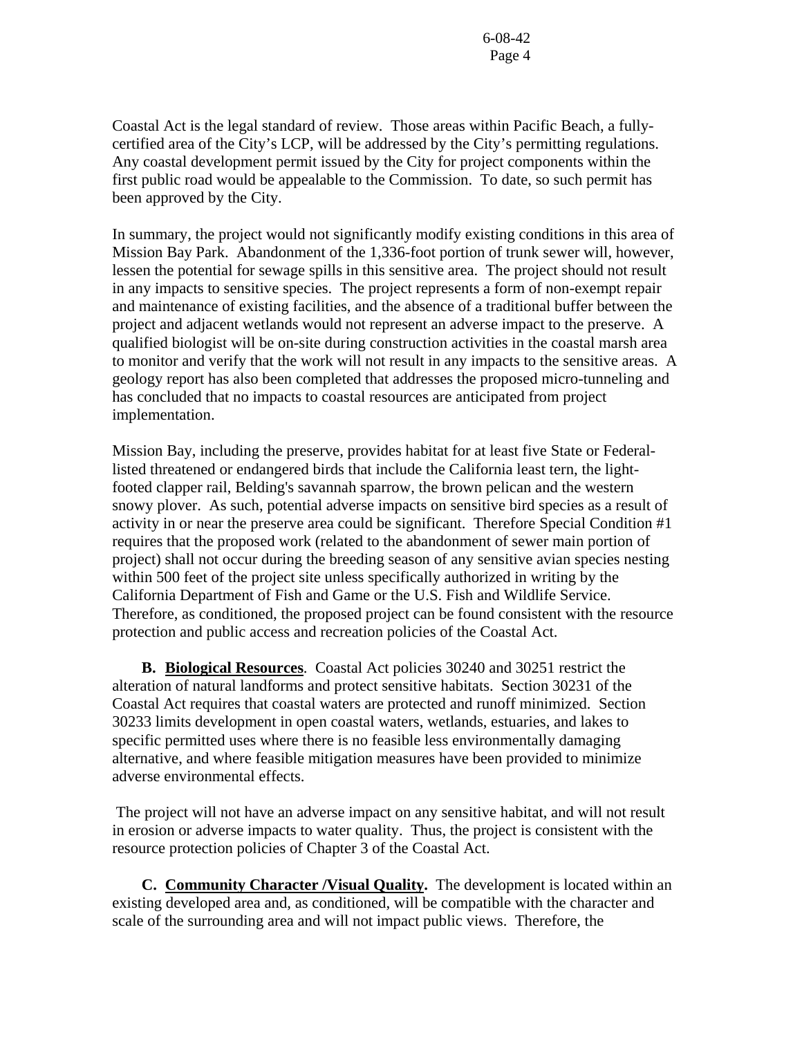Coastal Act is the legal standard of review. Those areas within Pacific Beach, a fullycertified area of the City's LCP, will be addressed by the City's permitting regulations. Any coastal development permit issued by the City for project components within the first public road would be appealable to the Commission. To date, so such permit has been approved by the City.

In summary, the project would not significantly modify existing conditions in this area of Mission Bay Park. Abandonment of the 1,336-foot portion of trunk sewer will, however, lessen the potential for sewage spills in this sensitive area. The project should not result in any impacts to sensitive species. The project represents a form of non-exempt repair and maintenance of existing facilities, and the absence of a traditional buffer between the project and adjacent wetlands would not represent an adverse impact to the preserve. A qualified biologist will be on-site during construction activities in the coastal marsh area to monitor and verify that the work will not result in any impacts to the sensitive areas. A geology report has also been completed that addresses the proposed micro-tunneling and has concluded that no impacts to coastal resources are anticipated from project implementation.

Mission Bay, including the preserve, provides habitat for at least five State or Federallisted threatened or endangered birds that include the California least tern, the lightfooted clapper rail, Belding's savannah sparrow, the brown pelican and the western snowy plover. As such, potential adverse impacts on sensitive bird species as a result of activity in or near the preserve area could be significant. Therefore Special Condition #1 requires that the proposed work (related to the abandonment of sewer main portion of project) shall not occur during the breeding season of any sensitive avian species nesting within 500 feet of the project site unless specifically authorized in writing by the California Department of Fish and Game or the U.S. Fish and Wildlife Service. Therefore, as conditioned, the proposed project can be found consistent with the resource protection and public access and recreation policies of the Coastal Act.

 **B. Biological Resources**. Coastal Act policies 30240 and 30251 restrict the alteration of natural landforms and protect sensitive habitats. Section 30231 of the Coastal Act requires that coastal waters are protected and runoff minimized. Section 30233 limits development in open coastal waters, wetlands, estuaries, and lakes to specific permitted uses where there is no feasible less environmentally damaging alternative, and where feasible mitigation measures have been provided to minimize adverse environmental effects.

 The project will not have an adverse impact on any sensitive habitat, and will not result in erosion or adverse impacts to water quality. Thus, the project is consistent with the resource protection policies of Chapter 3 of the Coastal Act.

 **C. Community Character /Visual Quality.** The development is located within an existing developed area and, as conditioned, will be compatible with the character and scale of the surrounding area and will not impact public views. Therefore, the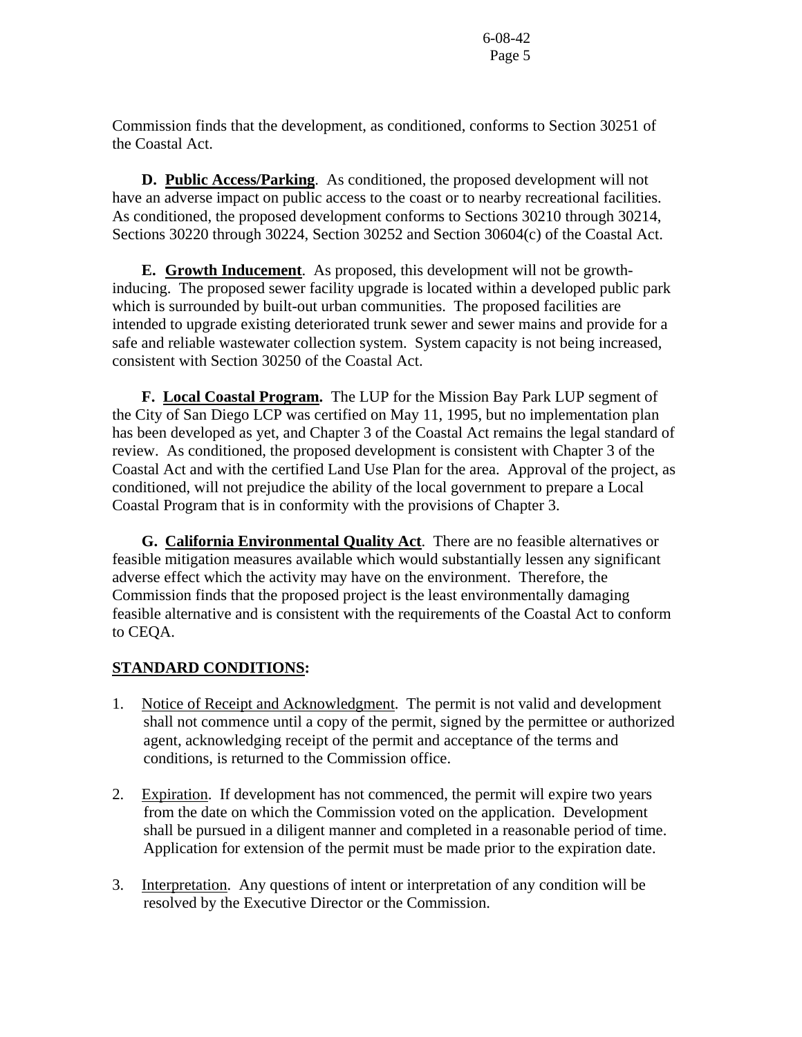Commission finds that the development, as conditioned, conforms to Section 30251 of the Coastal Act.

**D. Public Access/Parking**. As conditioned, the proposed development will not have an adverse impact on public access to the coast or to nearby recreational facilities. As conditioned, the proposed development conforms to Sections 30210 through 30214, Sections 30220 through 30224, Section 30252 and Section 30604(c) of the Coastal Act.

**E. Growth Inducement**. As proposed, this development will not be growthinducing. The proposed sewer facility upgrade is located within a developed public park which is surrounded by built-out urban communities. The proposed facilities are intended to upgrade existing deteriorated trunk sewer and sewer mains and provide for a safe and reliable wastewater collection system. System capacity is not being increased, consistent with Section 30250 of the Coastal Act.

**F. Local Coastal Program.** The LUP for the Mission Bay Park LUP segment of the City of San Diego LCP was certified on May 11, 1995, but no implementation plan has been developed as yet, and Chapter 3 of the Coastal Act remains the legal standard of review. As conditioned, the proposed development is consistent with Chapter 3 of the Coastal Act and with the certified Land Use Plan for the area. Approval of the project, as conditioned, will not prejudice the ability of the local government to prepare a Local Coastal Program that is in conformity with the provisions of Chapter 3.

 **G. California Environmental Quality Act**. There are no feasible alternatives or feasible mitigation measures available which would substantially lessen any significant adverse effect which the activity may have on the environment. Therefore, the Commission finds that the proposed project is the least environmentally damaging feasible alternative and is consistent with the requirements of the Coastal Act to conform to CEQA.

# **STANDARD CONDITIONS:**

- 1. Notice of Receipt and Acknowledgment. The permit is not valid and development shall not commence until a copy of the permit, signed by the permittee or authorized agent, acknowledging receipt of the permit and acceptance of the terms and conditions, is returned to the Commission office.
- 2. Expiration. If development has not commenced, the permit will expire two years from the date on which the Commission voted on the application. Development shall be pursued in a diligent manner and completed in a reasonable period of time. Application for extension of the permit must be made prior to the expiration date.
- 3. Interpretation. Any questions of intent or interpretation of any condition will be resolved by the Executive Director or the Commission.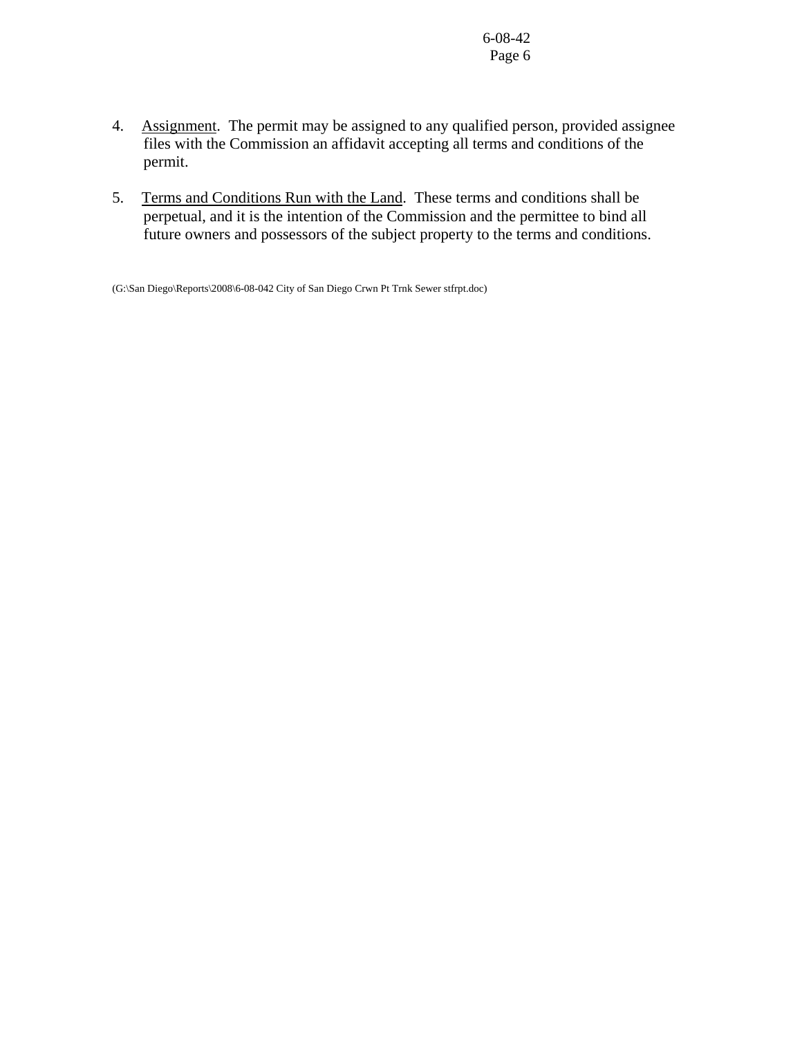- 4. Assignment. The permit may be assigned to any qualified person, provided assignee files with the Commission an affidavit accepting all terms and conditions of the permit.
- 5. Terms and Conditions Run with the Land. These terms and conditions shall be perpetual, and it is the intention of the Commission and the permittee to bind all future owners and possessors of the subject property to the terms and conditions.

(G:\San Diego\Reports\2008\6-08-042 City of San Diego Crwn Pt Trnk Sewer stfrpt.doc)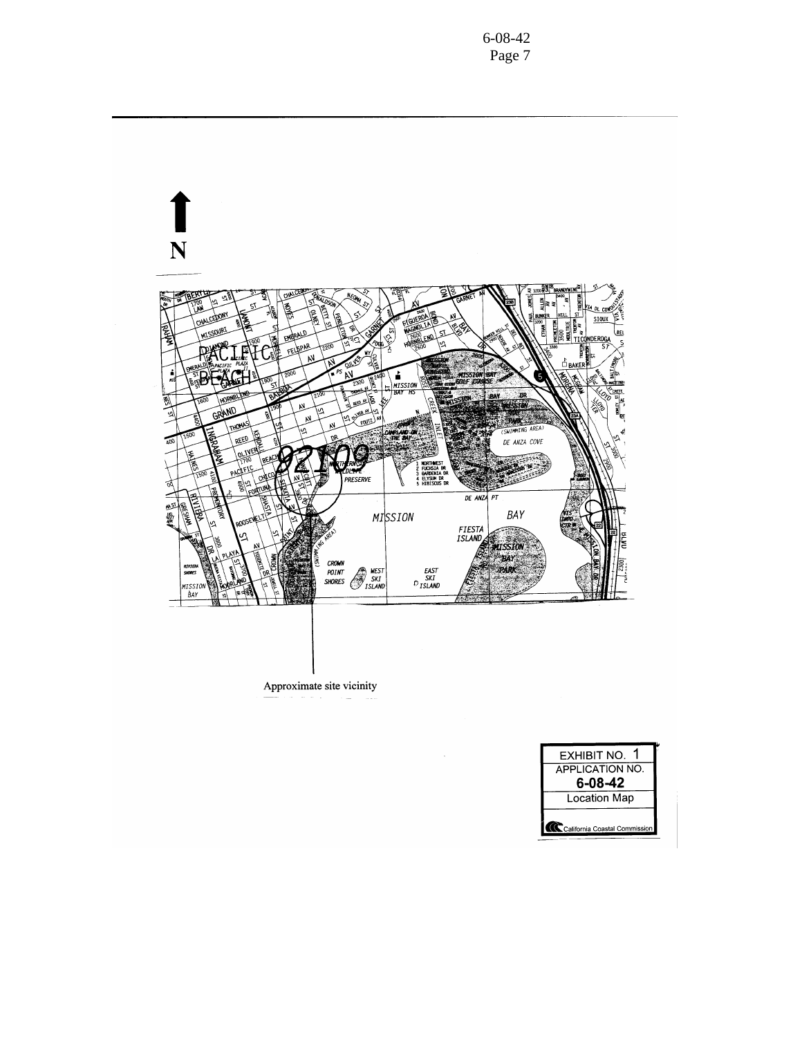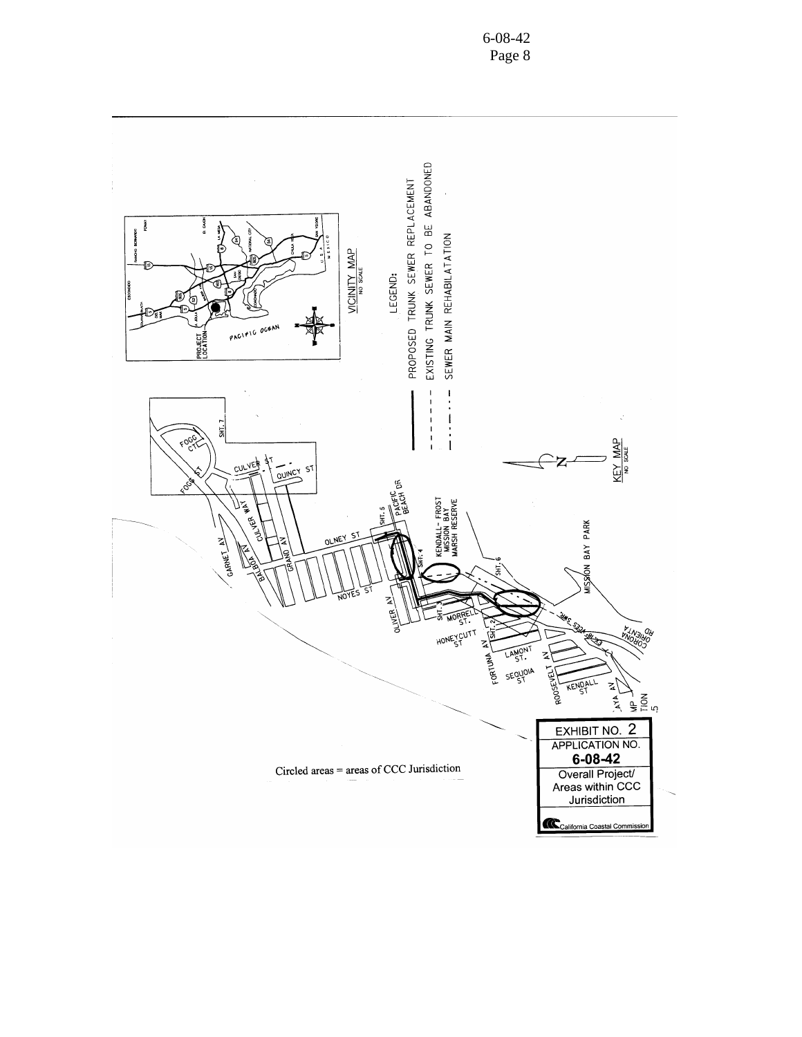

6-08-42 Page 8